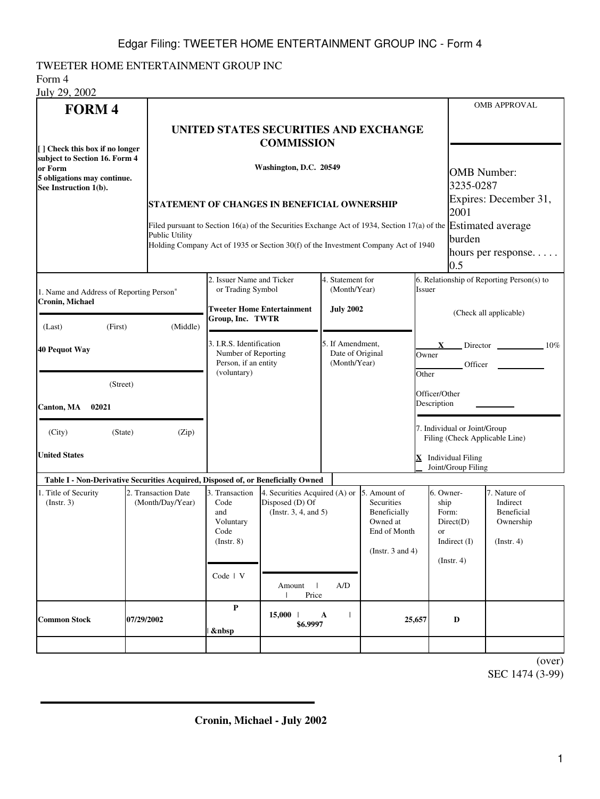## TWEETER HOME ENTERTAINMENT GROUP INC

Form 4  $J_{\text{uly}}$  20, 2002

| JUIV 29, 2002                                                                    |                                                                                                                                                                                                                                      |                                                                       |                                                                           |                                  |                                                                                                 |                                                     |                                                                                    | <b>OMB APPROVAL</b>                                                     |  |
|----------------------------------------------------------------------------------|--------------------------------------------------------------------------------------------------------------------------------------------------------------------------------------------------------------------------------------|-----------------------------------------------------------------------|---------------------------------------------------------------------------|----------------------------------|-------------------------------------------------------------------------------------------------|-----------------------------------------------------|------------------------------------------------------------------------------------|-------------------------------------------------------------------------|--|
| <b>FORM4</b>                                                                     |                                                                                                                                                                                                                                      | UNITED STATES SECURITIES AND EXCHANGE                                 |                                                                           |                                  |                                                                                                 |                                                     |                                                                                    |                                                                         |  |
| [] Check this box if no longer<br>subject to Section 16. Form 4                  | <b>COMMISSION</b>                                                                                                                                                                                                                    |                                                                       |                                                                           |                                  |                                                                                                 |                                                     |                                                                                    |                                                                         |  |
| or Form<br>5 obligations may continue.<br>See Instruction 1(b).                  | Washington, D.C. 20549<br>STATEMENT OF CHANGES IN BENEFICIAL OWNERSHIP                                                                                                                                                               |                                                                       |                                                                           |                                  |                                                                                                 |                                                     |                                                                                    | <b>OMB</b> Number:<br>3235-0287<br>Expires: December 31,<br>2001        |  |
|                                                                                  |                                                                                                                                                                                                                                      |                                                                       |                                                                           |                                  |                                                                                                 |                                                     |                                                                                    |                                                                         |  |
|                                                                                  | Filed pursuant to Section 16(a) of the Securities Exchange Act of 1934, Section 17(a) of the <b>Estimated average</b><br><b>Public Utility</b><br>Holding Company Act of 1935 or Section 30(f) of the Investment Company Act of 1940 |                                                                       |                                                                           |                                  |                                                                                                 |                                                     | burden<br>hours per response<br>0.5                                                |                                                                         |  |
| 1. Name and Address of Reporting Person*<br><b>Cronin, Michael</b>               |                                                                                                                                                                                                                                      | 2. Issuer Name and Ticker<br>or Trading Symbol                        |                                                                           | 4. Statement for<br>(Month/Year) |                                                                                                 | 6. Relationship of Reporting Person(s) to<br>Issuer |                                                                                    |                                                                         |  |
| (Last)<br>(First)<br>(Middle)                                                    |                                                                                                                                                                                                                                      | <b>Tweeter Home Entertainment</b><br>Group, Inc. TWTR                 |                                                                           | <b>July 2002</b>                 |                                                                                                 | (Check all applicable)                              |                                                                                    |                                                                         |  |
| <b>40 Pequot Way</b>                                                             | 3. I.R.S. Identification<br>Number of Reporting<br>Person, if an entity<br>(voluntary)                                                                                                                                               |                                                                       | 5. If Amendment,<br>Date of Original<br>(Month/Year)                      |                                  | Director 10%<br>X.<br>Owner<br>Officer                                                          |                                                     |                                                                                    |                                                                         |  |
| (Street)<br>Canton, MA<br>02021                                                  |                                                                                                                                                                                                                                      |                                                                       |                                                                           |                                  | Other<br>Officer/Other<br>Description                                                           |                                                     |                                                                                    |                                                                         |  |
| (City)<br>(State)                                                                |                                                                                                                                                                                                                                      |                                                                       |                                                                           |                                  | 7. Individual or Joint/Group<br>Filing (Check Applicable Line)                                  |                                                     |                                                                                    |                                                                         |  |
| <b>United States</b>                                                             |                                                                                                                                                                                                                                      |                                                                       |                                                                           |                                  |                                                                                                 | X Individual Filing<br>Joint/Group Filing           |                                                                                    |                                                                         |  |
| Table I - Non-Derivative Securities Acquired, Disposed of, or Beneficially Owned |                                                                                                                                                                                                                                      |                                                                       |                                                                           |                                  |                                                                                                 |                                                     |                                                                                    |                                                                         |  |
| 2. Transaction Date<br>1. Title of Security<br>(Month/Day/Year)<br>(Insert. 3)   |                                                                                                                                                                                                                                      | 3. Transaction<br>Code<br>and<br>Voluntary<br>Code<br>$($ Instr. $8)$ | 4. Securities Acquired (A) or<br>Disposed (D) Of<br>(Insert. 3, 4, and 5) |                                  | 5. Amount of<br>Securities<br>Beneficially<br>Owned at<br>End of Month<br>(Instr. $3$ and $4$ ) |                                                     | 6. Owner-<br>ship<br>Form:<br>Direct(D)<br><b>or</b><br>Indirect (I)<br>(Instr. 4) | 7. Nature of<br>Indirect<br>Beneficial<br>Ownership<br>$($ Instr. 4 $)$ |  |
|                                                                                  |                                                                                                                                                                                                                                      | Code   V                                                              | Amount  <br>Price<br>$\mathbf{L}$                                         | A/D                              |                                                                                                 |                                                     |                                                                                    |                                                                         |  |
| <b>Common Stock</b>                                                              | 07/29/2002                                                                                                                                                                                                                           | P<br>                                                                 | $15,000$   A<br>\$6.9997                                                  |                                  | 25,657                                                                                          |                                                     | $\mathbf D$                                                                        |                                                                         |  |
|                                                                                  |                                                                                                                                                                                                                                      |                                                                       |                                                                           |                                  |                                                                                                 |                                                     |                                                                                    |                                                                         |  |

(over) SEC 1474 (3-99)